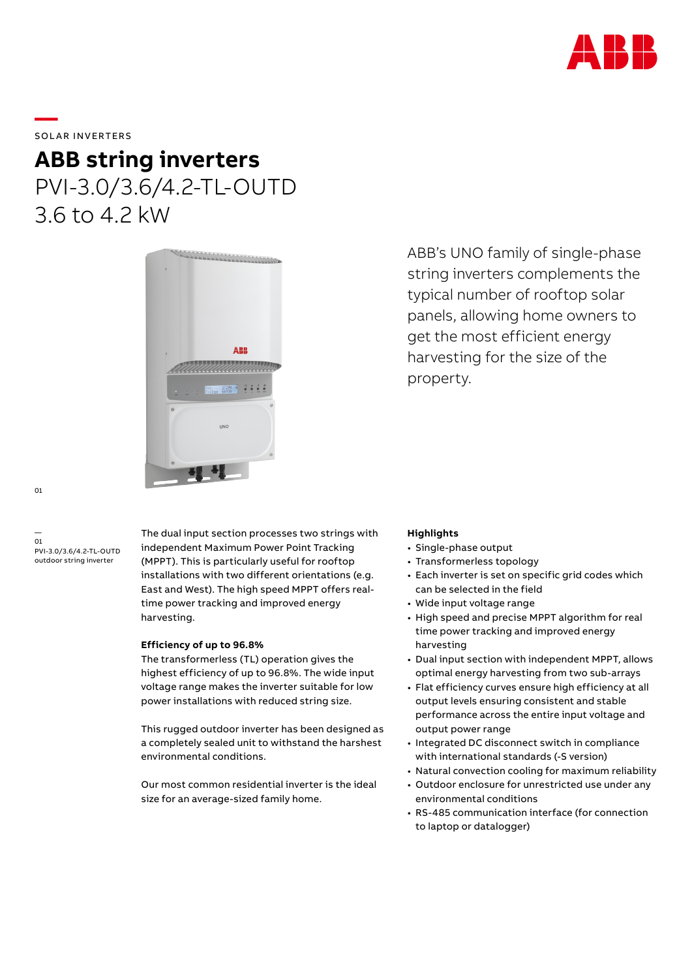

## SOLAR INVERTERS

**—** 

## **ABB string inverters** PVI-3.0/3.6/4.2-TL-OUTD 3.6 to 4.2 kW



ABB's UNO family of single-phase string inverters complements the typical number of rooftop solar panels, allowing home owners to get the most efficient energy harvesting for the size of the property.

— 01 PVI-3.0/3.6/4.2-TL-OUTD outdoor string inverter

The dual input section processes two strings with independent Maximum Power Point Tracking (MPPT). This is particularly useful for rooftop installations with two different orientations (e.g. East and West). The high speed MPPT offers realtime power tracking and improved energy harvesting.

### **Efficiency of up to 96.8%**

The transformerless (TL) operation gives the highest efficiency of up to 96.8%. The wide input voltage range makes the inverter suitable for low power installations with reduced string size.

This rugged outdoor inverter has been designed as a completely sealed unit to withstand the harshest environmental conditions.

Our most common residential inverter is the ideal size for an average-sized family home.

### **Highlights**

- Single-phase output
- Transformerless topology
- Each inverter is set on specific grid codes which can be selected in the field
- Wide input voltage range
- High speed and precise MPPT algorithm for real time power tracking and improved energy harvesting
- Dual input section with independent MPPT, allows optimal energy harvesting from two sub-arrays
- Flat efficiency curves ensure high efficiency at all output levels ensuring consistent and stable performance across the entire input voltage and output power range
- Integrated DC disconnect switch in compliance with international standards (-S version)
- Natural convection cooling for maximum reliability
- Outdoor enclosure for unrestricted use under any environmental conditions
- RS-485 communication interface (for connection to laptop or datalogger)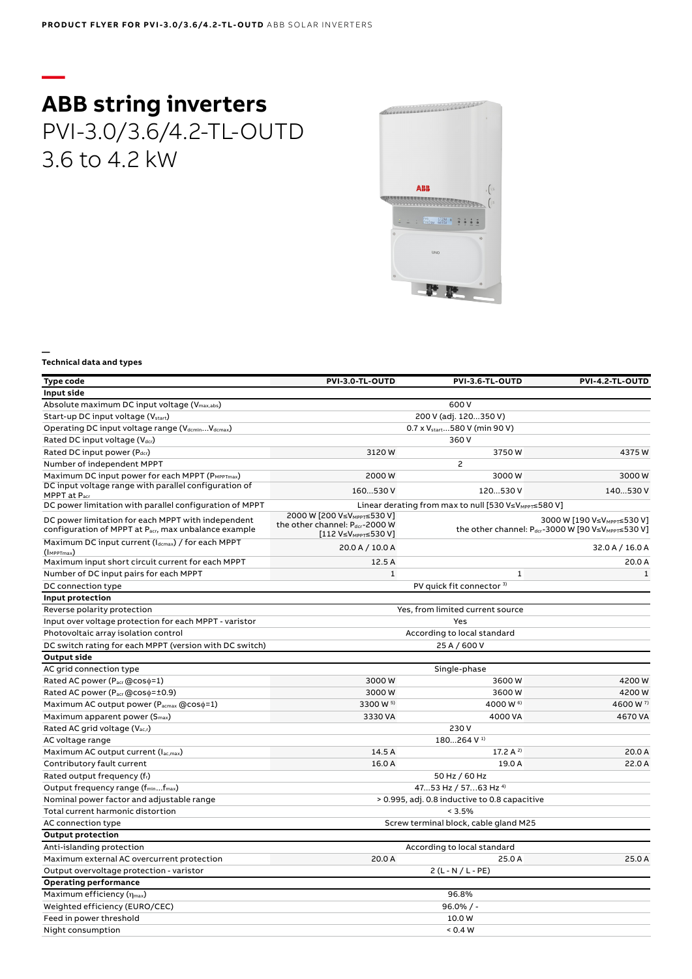# **— ABB string inverters** PVI-3.0/3.6/4.2-TL-OUTD 3.6 to 4.2 kW



#### **— Technical data and types**

| <b>Type code</b>                                                                                           | PVI-3.0-TL-OUTD                                                                                                                                                                                             | PVI-3.6-TL-OUTD                                                   | PVI-4.2-TL-OUTD      |
|------------------------------------------------------------------------------------------------------------|-------------------------------------------------------------------------------------------------------------------------------------------------------------------------------------------------------------|-------------------------------------------------------------------|----------------------|
| Input side                                                                                                 |                                                                                                                                                                                                             |                                                                   |                      |
| Absolute maximum DC input voltage (V <sub>max,abs</sub> )                                                  |                                                                                                                                                                                                             | 600 V                                                             |                      |
| Start-up DC input voltage (V <sub>start</sub> )                                                            |                                                                                                                                                                                                             | 200 V (adj. 120350 V)                                             |                      |
| Operating DC input voltage range (VdcminVdcmax)                                                            | 0.7 x V <sub>start</sub> 580 V (min 90 V)                                                                                                                                                                   |                                                                   |                      |
| Rated DC input voltage (Vdcr)                                                                              |                                                                                                                                                                                                             | 360 V                                                             |                      |
| Rated DC input power (Pdcr)                                                                                | 3120W                                                                                                                                                                                                       | 3750W                                                             | 4375W                |
| Number of independent MPPT                                                                                 |                                                                                                                                                                                                             | $\overline{c}$                                                    |                      |
| Maximum DC input power for each MPPT (PMPPTmax)                                                            | 2000W                                                                                                                                                                                                       | 3000W                                                             | 3000W                |
| DC input voltage range with parallel configuration of<br>MPPT at Pacr                                      | 160530 V                                                                                                                                                                                                    | 120530 V                                                          | 140530 V             |
| DC power limitation with parallel configuration of MPPT                                                    |                                                                                                                                                                                                             | Linear derating from max to null [530 V≤V <sub>MPPT</sub> ≤580 V] |                      |
| DC power limitation for each MPPT with independent<br>configuration of MPPT at Pacr, max unbalance example | 2000 W [200 V≤VMPPT≤530 V]<br>3000 W [190 V≤V <sub>MPPT</sub> ≤530 V]<br>the other channel: Pdcr-2000 W<br>the other channel: Pdcr-3000 W [90 V≤VMPPT≤530 V]<br>$[112 V \le V \le V \text{MPPT} \le 530 V]$ |                                                                   |                      |
| Maximum DC input current (Idcmax) / for each MPPT<br>$(\mathsf{I}_{\text{MPPTmax}})$                       | 20.0 A / 10.0 A                                                                                                                                                                                             |                                                                   | 32.0 A / 16.0 A      |
| Maximum input short circuit current for each MPPT                                                          | 12.5A                                                                                                                                                                                                       |                                                                   | 20.0 A               |
| Number of DC input pairs for each MPPT                                                                     | $\mathbf 1$                                                                                                                                                                                                 | $\mathbf 1$                                                       | $\mathbf{1}$         |
| DC connection type                                                                                         |                                                                                                                                                                                                             | PV quick fit connector <sup>3)</sup>                              |                      |
| Input protection                                                                                           |                                                                                                                                                                                                             |                                                                   |                      |
| Reverse polarity protection                                                                                |                                                                                                                                                                                                             | Yes, from limited current source                                  |                      |
| Input over voltage protection for each MPPT - varistor                                                     | Yes                                                                                                                                                                                                         |                                                                   |                      |
| Photovoltaic array isolation control                                                                       | According to local standard                                                                                                                                                                                 |                                                                   |                      |
| DC switch rating for each MPPT (version with DC switch)                                                    |                                                                                                                                                                                                             | 25 A / 600 V                                                      |                      |
| <b>Output side</b>                                                                                         |                                                                                                                                                                                                             |                                                                   |                      |
| AC grid connection type                                                                                    |                                                                                                                                                                                                             | Single-phase                                                      |                      |
| Rated AC power (Pacr@coso=1)                                                                               | 3000W                                                                                                                                                                                                       | 3600W                                                             | 4200W                |
| Rated AC power (Pacr @coso=±0.9)                                                                           | 3000W                                                                                                                                                                                                       | 3600W                                                             | 4200W                |
| Maximum AC output power (Pacmax @coso=1)                                                                   | 3300 W 5)                                                                                                                                                                                                   | 4000 W 6)                                                         | 4600 W <sup>7)</sup> |
| Maximum apparent power (S <sub>max</sub> )                                                                 | 3330 VA                                                                                                                                                                                                     | 4000 VA                                                           | 4670 VA              |
| Rated AC grid voltage (Vac,r)                                                                              | 230 V                                                                                                                                                                                                       |                                                                   |                      |
| AC voltage range                                                                                           |                                                                                                                                                                                                             | 180264 V <sup>1)</sup>                                            |                      |
| Maximum AC output current (Iac,max)                                                                        | 14.5 A                                                                                                                                                                                                      | 17.2 A $^{2}$                                                     | 20.0 A               |
| Contributory fault current                                                                                 | 16.0 A                                                                                                                                                                                                      | 19.0 A                                                            | 22.0A                |
| Rated output frequency (fr)                                                                                | 50 Hz / 60 Hz                                                                                                                                                                                               |                                                                   |                      |
| Output frequency range (f <sub>min</sub> f <sub>max</sub> )                                                | 4753 Hz / 5763 Hz <sup>4)</sup>                                                                                                                                                                             |                                                                   |                      |
| Nominal power factor and adjustable range<br>Total current harmonic distortion                             | > 0.995, adj. 0.8 inductive to 0.8 capacitive                                                                                                                                                               |                                                                   |                      |
|                                                                                                            | < 3.5%<br>Screw terminal block, cable gland M25                                                                                                                                                             |                                                                   |                      |
| AC connection type                                                                                         |                                                                                                                                                                                                             |                                                                   |                      |
| <b>Output protection</b><br>Anti-islanding protection                                                      |                                                                                                                                                                                                             |                                                                   |                      |
| Maximum external AC overcurrent protection                                                                 | 20.0 A                                                                                                                                                                                                      | According to local standard<br>25.0 A                             | 25.0 A               |
| Output overvoltage protection - varistor                                                                   |                                                                                                                                                                                                             | $2(L - N / L - PE)$                                               |                      |
| <b>Operating performance</b>                                                                               |                                                                                                                                                                                                             |                                                                   |                      |
| Maximum efficiency $(\eta_{max})$                                                                          |                                                                                                                                                                                                             | 96.8%                                                             |                      |
| Weighted efficiency (EURO/CEC)                                                                             | $96.0\%$ / -                                                                                                                                                                                                |                                                                   |                      |
| Feed in power threshold                                                                                    | 10.0W                                                                                                                                                                                                       |                                                                   |                      |
| Night consumption                                                                                          | < 0.4 W                                                                                                                                                                                                     |                                                                   |                      |
|                                                                                                            |                                                                                                                                                                                                             |                                                                   |                      |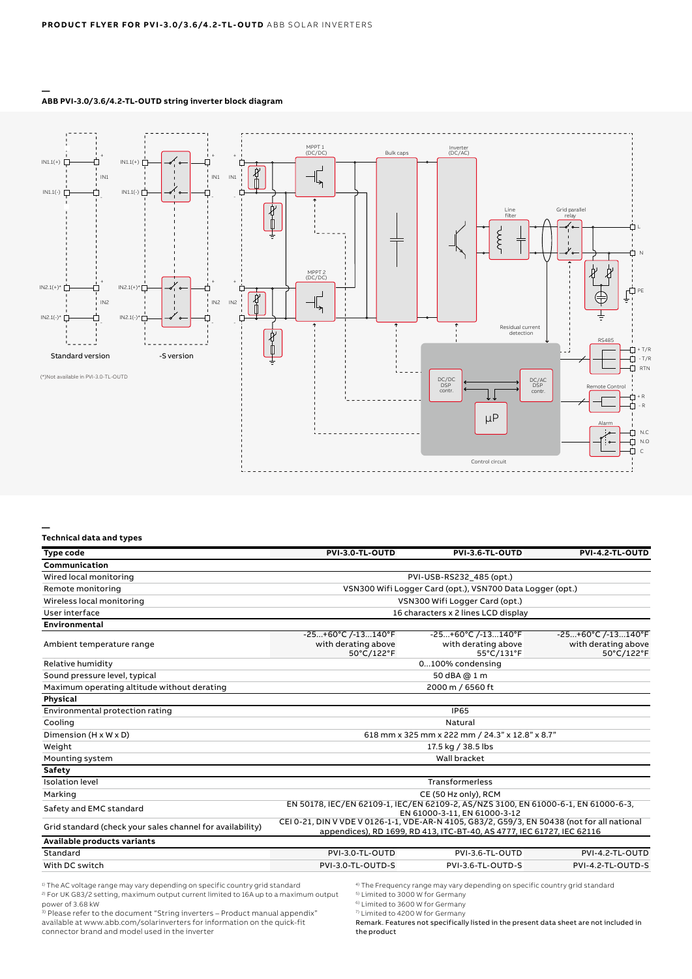

#### **— ABB PVI-3.0/3.6/4.2-TL-OUTD string inverter block diagram**

#### **— Technical data and types**

| Type code                                                 | PVI-3.0-TL-OUTD                                                                                                                                                       | PVI-3.6-TL-OUTD                                              | PVI-4.2-TL-OUTD                                              |  |
|-----------------------------------------------------------|-----------------------------------------------------------------------------------------------------------------------------------------------------------------------|--------------------------------------------------------------|--------------------------------------------------------------|--|
| Communication                                             |                                                                                                                                                                       |                                                              |                                                              |  |
| Wired local monitoring                                    | PVI-USB-RS232 485 (opt.)                                                                                                                                              |                                                              |                                                              |  |
| Remote monitoring                                         | VSN300 Wifi Logger Card (opt.), VSN700 Data Logger (opt.)                                                                                                             |                                                              |                                                              |  |
| Wireless local monitoring                                 | VSN300 Wifi Logger Card (opt.)                                                                                                                                        |                                                              |                                                              |  |
| User interface                                            | 16 characters x 2 lines LCD display                                                                                                                                   |                                                              |                                                              |  |
| <b>Environmental</b>                                      |                                                                                                                                                                       |                                                              |                                                              |  |
| Ambient temperature range                                 | $-25+60°C$ /-13 $140°F$<br>with derating above<br>50°C/122°F                                                                                                          | $-25+60°C$ /-13 $140°F$<br>with derating above<br>55°C/131°F | $-25+60°C$ /-13 $140°F$<br>with derating above<br>50°C/122°F |  |
| Relative humidity                                         | 0100% condensing                                                                                                                                                      |                                                              |                                                              |  |
| Sound pressure level, typical                             | 50 dBA @ 1 m                                                                                                                                                          |                                                              |                                                              |  |
| Maximum operating altitude without derating               | 2000 m / 6560 ft                                                                                                                                                      |                                                              |                                                              |  |
| Physical                                                  |                                                                                                                                                                       |                                                              |                                                              |  |
| Environmental protection rating                           | <b>IP65</b>                                                                                                                                                           |                                                              |                                                              |  |
| Cooling                                                   | Natural                                                                                                                                                               |                                                              |                                                              |  |
| Dimension (H x W x D)                                     | 618 mm x 325 mm x 222 mm / 24.3" x 12.8" x 8.7"                                                                                                                       |                                                              |                                                              |  |
| Weight                                                    | 17.5 kg / 38.5 lbs                                                                                                                                                    |                                                              |                                                              |  |
| Mounting system                                           | Wall bracket                                                                                                                                                          |                                                              |                                                              |  |
| Safety                                                    |                                                                                                                                                                       |                                                              |                                                              |  |
| <b>Isolation level</b>                                    | Transformerless                                                                                                                                                       |                                                              |                                                              |  |
| Marking                                                   | CE (50 Hz only), RCM                                                                                                                                                  |                                                              |                                                              |  |
| Safety and EMC standard                                   | EN 50178, IEC/EN 62109-1, IEC/EN 62109-2, AS/NZS 3100, EN 61000-6-1, EN 61000-6-3,<br>EN 61000-3-11, EN 61000-3-12                                                    |                                                              |                                                              |  |
| Grid standard (check your sales channel for availability) | CEI 0-21, DIN V VDE V 0126-1-1, VDE-AR-N 4105, G83/2, G59/3, EN 50438 (not for all national<br>appendices), RD 1699, RD 413, ITC-BT-40, AS 4777, IEC 61727, IEC 62116 |                                                              |                                                              |  |
| Available products variants                               |                                                                                                                                                                       |                                                              |                                                              |  |
| Standard                                                  | PVI-3.0-TL-OUTD                                                                                                                                                       | PVI-3.6-TL-OUTD                                              | PVI-4.2-TL-OUTD                                              |  |
| With DC switch                                            | PVI-3.0-TL-OUTD-S                                                                                                                                                     | PVI-3.6-TL-OUTD-S                                            | PVI-4.2-TL-OUTD-S                                            |  |

1) The AC voltage range may vary depending on specific country grid standard 2) For UK G83/2 setting, maximum output current limited to 16A up to a maximum output power of 3.68 kW

<sup>3)</sup> Please refer to the document "String inverters - Product manual appendix" available at www.abb.com/solarinverters for information on the quick-fit connector brand and model used in the inverter

4) The Frequency range may vary depending on specific country grid standard

<sup>5)</sup> Limited to 3000 W for Germany

6) Limited to 3600 W for Germany

7) Limited to 4200 W for Germany

Remark. Features not specifically listed in the present data sheet are not included in the product